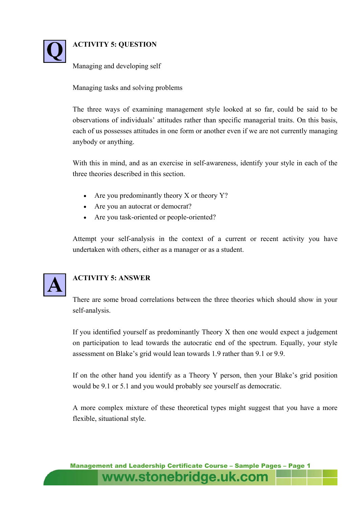

# **ACTIVITY 5: QUESTION**

Managing and developing self

Managing tasks and solving problems

The three ways of examining management style looked at so far, could be said to be observations of individuals' attitudes rather than specific managerial traits. On this basis, each of us possesses attitudes in one form or another even if we are not currently managing anybody or anything.

With this in mind, and as an exercise in self-awareness, identify your style in each of the three theories described in this section.

- Are you predominantly theory X or theory Y?
- Are you an autocrat or democrat?
- Are you task-oriented or people-oriented?

Attempt your self-analysis in the context of a current or recent activity you have undertaken with others, either as a manager or as a student.



# **ACTIVITY 5: ANSWER**

There are some broad correlations between the three theories which should show in your self-analysis.

If you identified yourself as predominantly Theory X then one would expect a judgement on participation to lead towards the autocratic end of the spectrum. Equally, your style assessment on Blake's grid would lean towards 1.9 rather than 9.1 or 9.9.

If on the other hand you identify as a Theory Y person, then your Blake's grid position would be 9.1 or 5.1 and you would probably see yourself as democratic.

A more complex mixture of these theoretical types might suggest that you have a more flexible, situational style.

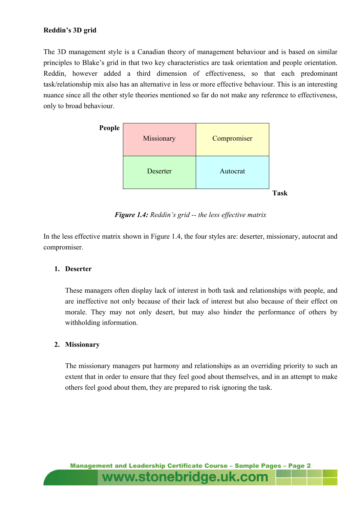The 3D management style is a Canadian theory of management behaviour and is based on similar principles to Blake's grid in that two key characteristics are task orientation and people orientation. Reddin, however added a third dimension of effectiveness, so that each predominant task/relationship mix also has an alternative in less or more effective behaviour. This is an interesting nuance since all the other style theories mentioned so far do not make any reference to effectiveness, only to broad behaviour.

| People | Missionary      | Compromiser |             |
|--------|-----------------|-------------|-------------|
|        | <b>Deserter</b> | Autocrat    |             |
|        |                 |             | <b>Task</b> |

*Figure 1.4: Reddin's grid -- the less effective matrix* 

In the less effective matrix shown in Figure 1.4, the four styles are: deserter, missionary, autocrat and compromiser.

## **1. Deserter**

These managers often display lack of interest in both task and relationships with people, and are ineffective not only because of their lack of interest but also because of their effect on morale. They may not only desert, but may also hinder the performance of others by withholding information.

#### **2. Missionary**

The missionary managers put harmony and relationships as an overriding priority to such an extent that in order to ensure that they feel good about themselves, and in an attempt to make others feel good about them, they are prepared to risk ignoring the task.

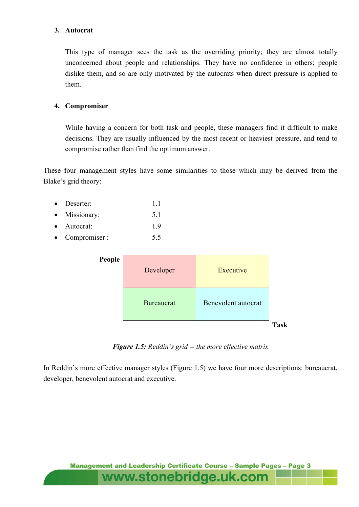#### **3. Autocrat**

This type of manager sees the task as the overriding priority; they are almost totally unconcerned about people and relationships. They have no confidence in others; people dislike them, and so are only motivated by the autocrats when direct pressure is applied to them.

### **4. Compromiser**

While having a concern for both task and people, these managers find it difficult to make decisions. They are usually influenced by the most recent or heaviest pressure, and tend to compromise rather than find the optimum answer.

These four management styles have some similarities to those which may be derived from the Blake's grid theory:

- Deserter: 1.1
- Missionary: 5.1
- Autocrat: 1.9
- Compromiser : 5.5

| People | Developer         | Executive           |             |
|--------|-------------------|---------------------|-------------|
|        | <b>Bureaucrat</b> | Benevolent autocrat |             |
|        |                   |                     | <b>Task</b> |

*Figure 1.5: Reddin's grid -- the more effective matrix* 

In Reddin's more effective manager styles (Figure 1.5) we have four more descriptions: bureaucrat, developer, benevolent autocrat and executive.

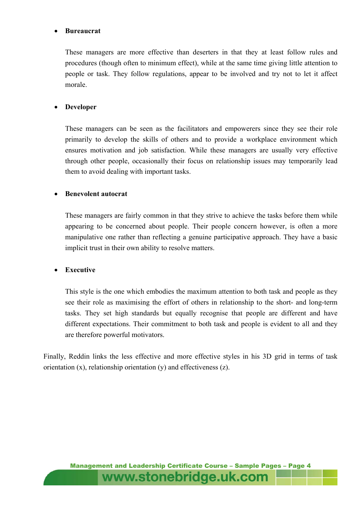### • **Bureaucrat**

These managers are more effective than deserters in that they at least follow rules and procedures (though often to minimum effect), while at the same time giving little attention to people or task. They follow regulations, appear to be involved and try not to let it affect morale.

## • **Developer**

These managers can be seen as the facilitators and empowerers since they see their role primarily to develop the skills of others and to provide a workplace environment which ensures motivation and job satisfaction. While these managers are usually very effective through other people, occasionally their focus on relationship issues may temporarily lead them to avoid dealing with important tasks.

#### • **Benevolent autocrat**

These managers are fairly common in that they strive to achieve the tasks before them while appearing to be concerned about people. Their people concern however, is often a more manipulative one rather than reflecting a genuine participative approach. They have a basic implicit trust in their own ability to resolve matters.

#### • **Executive**

This style is the one which embodies the maximum attention to both task and people as they see their role as maximising the effort of others in relationship to the short- and long-term tasks. They set high standards but equally recognise that people are different and have different expectations. Their commitment to both task and people is evident to all and they are therefore powerful motivators.

Finally, Reddin links the less effective and more effective styles in his 3D grid in terms of task orientation (x), relationship orientation (y) and effectiveness (z).